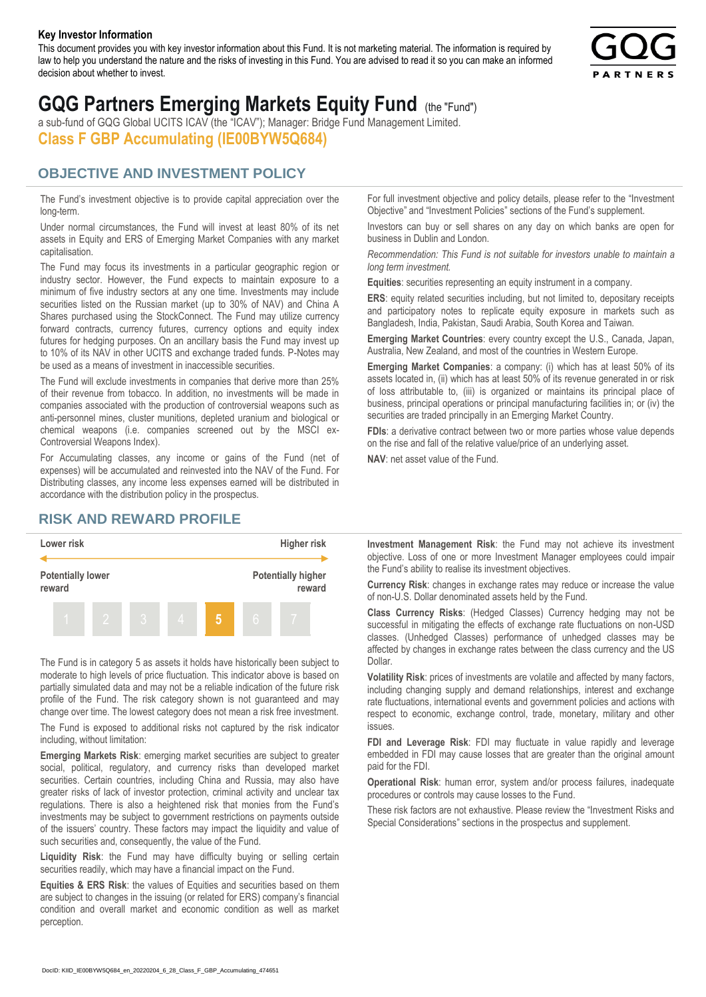#### **Key Investor Information**

This document provides you with key investor information about this Fund. It is not marketing material. The information is required by law to help you understand the nature and the risks of investing in this Fund. You are advised to read it so you can make an informed decision about whether to invest.



# **GQG Partners Emerging Markets Equity Fund** (the "Fund")

a sub-fund of GQG Global UCITS ICAV (the "ICAV"); Manager: Bridge Fund Management Limited. **Class F GBP Accumulating (IE00BYW5Q684)**

#### **OBJECTIVE AND INVESTMENT POLICY**

The Fund's investment objective is to provide capital appreciation over the long-term.

Under normal circumstances, the Fund will invest at least 80% of its net assets in Equity and ERS of Emerging Market Companies with any market capitalisation.

The Fund may focus its investments in a particular geographic region or industry sector. However, the Fund expects to maintain exposure to a minimum of five industry sectors at any one time. Investments may include securities listed on the Russian market (up to 30% of NAV) and China A Shares purchased using the StockConnect. The Fund may utilize currency forward contracts, currency futures, currency options and equity index futures for hedging purposes. On an ancillary basis the Fund may invest up to 10% of its NAV in other UCITS and exchange traded funds. P-Notes may be used as a means of investment in inaccessible securities.

The Fund will exclude investments in companies that derive more than 25% of their revenue from tobacco. In addition, no investments will be made in companies associated with the production of controversial weapons such as anti-personnel mines, cluster munitions, depleted uranium and biological or chemical weapons (i.e. companies screened out by the MSCI ex-Controversial Weapons Index).

For Accumulating classes, any income or gains of the Fund (net of expenses) will be accumulated and reinvested into the NAV of the Fund. For Distributing classes, any income less expenses earned will be distributed in accordance with the distribution policy in the prospectus.

### **RISK AND REWARD PROFILE**



The Fund is in category 5 as assets it holds have historically been subject to moderate to high levels of price fluctuation. This indicator above is based on partially simulated data and may not be a reliable indication of the future risk profile of the Fund. The risk category shown is not guaranteed and may change over time. The lowest category does not mean a risk free investment.

The Fund is exposed to additional risks not captured by the risk indicator including, without limitation:

**Emerging Markets Risk**: emerging market securities are subject to greater social, political, regulatory, and currency risks than developed market securities. Certain countries, including China and Russia, may also have greater risks of lack of investor protection, criminal activity and unclear tax regulations. There is also a heightened risk that monies from the Fund's investments may be subject to government restrictions on payments outside of the issuers' country. These factors may impact the liquidity and value of such securities and, consequently, the value of the Fund.

**Liquidity Risk**: the Fund may have difficulty buying or selling certain securities readily, which may have a financial impact on the Fund.

**Equities & ERS Risk**: the values of Equities and securities based on them are subject to changes in the issuing (or related for ERS) company's financial condition and overall market and economic condition as well as market perception.

For full investment objective and policy details, please refer to the "Investment Objective" and "Investment Policies" sections of the Fund's supplement.

Investors can buy or sell shares on any day on which banks are open for business in Dublin and London.

*Recommendation: This Fund is not suitable for investors unable to maintain a long term investment.*

**Equities**: securities representing an equity instrument in a company.

**ERS:** equity related securities including, but not limited to, depositary receipts and participatory notes to replicate equity exposure in markets such as Bangladesh, India, Pakistan, Saudi Arabia, South Korea and Taiwan.

**Emerging Market Countries**: every country except the U.S., Canada, Japan, Australia, New Zealand, and most of the countries in Western Europe.

**Emerging Market Companies**: a company: (i) which has at least 50% of its assets located in, (ii) which has at least 50% of its revenue generated in or risk of loss attributable to, (iii) is organized or maintains its principal place of business, principal operations or principal manufacturing facilities in; or (iv) the securities are traded principally in an Emerging Market Country.

**FDIs**: a derivative contract between two or more parties whose value depends on the rise and fall of the relative value/price of an underlying asset.

**NAV**: net asset value of the Fund.

**Investment Management Risk**: the Fund may not achieve its investment objective. Loss of one or more Investment Manager employees could impair the Fund's ability to realise its investment objectives.

**Currency Risk**: changes in exchange rates may reduce or increase the value of non-U.S. Dollar denominated assets held by the Fund.

**Class Currency Risks**: (Hedged Classes) Currency hedging may not be successful in mitigating the effects of exchange rate fluctuations on non-USD classes. (Unhedged Classes) performance of unhedged classes may be affected by changes in exchange rates between the class currency and the US Dollar.

**Volatility Risk**: prices of investments are volatile and affected by many factors, including changing supply and demand relationships, interest and exchange rate fluctuations, international events and government policies and actions with respect to economic, exchange control, trade, monetary, military and other issues.

**FDI and Leverage Risk**: FDI may fluctuate in value rapidly and leverage embedded in FDI may cause losses that are greater than the original amount paid for the FDI.

**Operational Risk**: human error, system and/or process failures, inadequate procedures or controls may cause losses to the Fund.

These risk factors are not exhaustive. Please review the "Investment Risks and Special Considerations" sections in the prospectus and supplement.